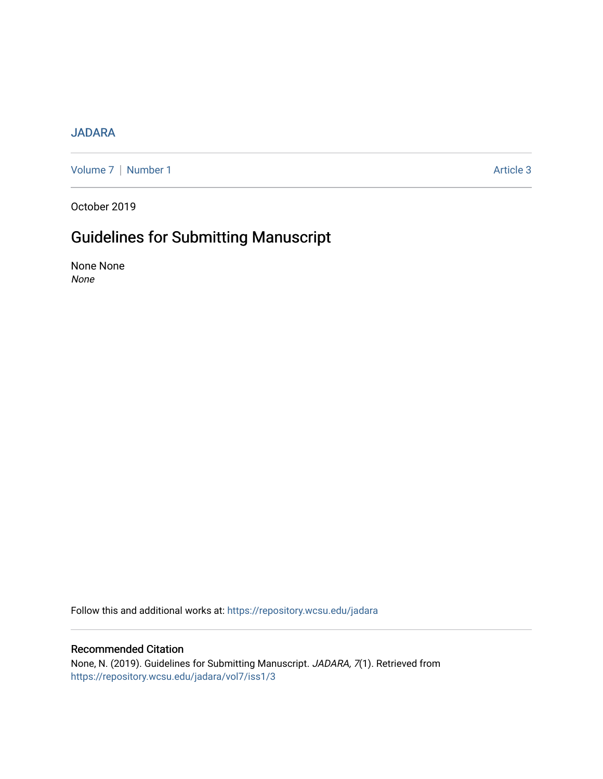## [JADARA](https://repository.wcsu.edu/jadara)

[Volume 7](https://repository.wcsu.edu/jadara/vol7) | [Number 1](https://repository.wcsu.edu/jadara/vol7/iss1) Article 3

October 2019

## Guidelines for Submitting Manuscript

None None None

Follow this and additional works at: [https://repository.wcsu.edu/jadara](https://repository.wcsu.edu/jadara?utm_source=repository.wcsu.edu%2Fjadara%2Fvol7%2Fiss1%2F3&utm_medium=PDF&utm_campaign=PDFCoverPages)

## Recommended Citation

None, N. (2019). Guidelines for Submitting Manuscript. JADARA, 7(1). Retrieved from [https://repository.wcsu.edu/jadara/vol7/iss1/3](https://repository.wcsu.edu/jadara/vol7/iss1/3?utm_source=repository.wcsu.edu%2Fjadara%2Fvol7%2Fiss1%2F3&utm_medium=PDF&utm_campaign=PDFCoverPages)